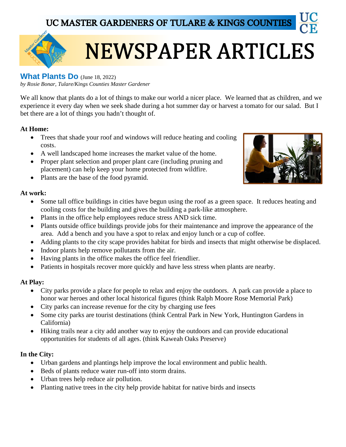UC MASTER GARDENERS OF TULARE & KINGS COUNTIES



# **NEWSPAPER ARTICLES**

## **What Plants Do** (June 18, 2022)

*by Rosie Bonar, Tulare/Kings Counties Master Gardener*

We all know that plants do a lot of things to make our world a nicer place. We learned that as children, and we experience it every day when we seek shade during a hot summer day or harvest a tomato for our salad. But I bet there are a lot of things you hadn't thought of.

## **At Home:**

- Trees that shade your roof and windows will reduce heating and cooling costs.
- A well landscaped home increases the market value of the home.
- Proper plant selection and proper plant care (including pruning and placement) can help keep your home protected from wildfire.
- Plants are the base of the food pyramid.

### **At work:**

- Some tall office buildings in cities have begun using the roof as a green space. It reduces heating and cooling costs for the building and gives the building a park-like atmosphere.
- Plants in the office help employees reduce stress AND sick time.
- Plants outside office buildings provide jobs for their maintenance and improve the appearance of the area. Add a bench and you have a spot to relax and enjoy lunch or a cup of coffee.
- Adding plants to the city scape provides habitat for birds and insects that might otherwise be displaced.
- Indoor plants help remove pollutants from the air.
- Having plants in the office makes the office feel friendlier.
- Patients in hospitals recover more quickly and have less stress when plants are nearby.

## **At Play:**

- City parks provide a place for people to relax and enjoy the outdoors. A park can provide a place to honor war heroes and other local historical figures (think Ralph Moore Rose Memorial Park)
- City parks can increase revenue for the city by charging use fees
- Some city parks are tourist destinations (think Central Park in New York, Huntington Gardens in California)
- Hiking trails near a city add another way to enjoy the outdoors and can provide educational opportunities for students of all ages. (think Kaweah Oaks Preserve)

#### **In the City:**

- Urban gardens and plantings help improve the local environment and public health.
- Beds of plants reduce water run-off into storm drains.
- Urban trees help reduce air pollution.
- Planting native trees in the city help provide habitat for native birds and insects